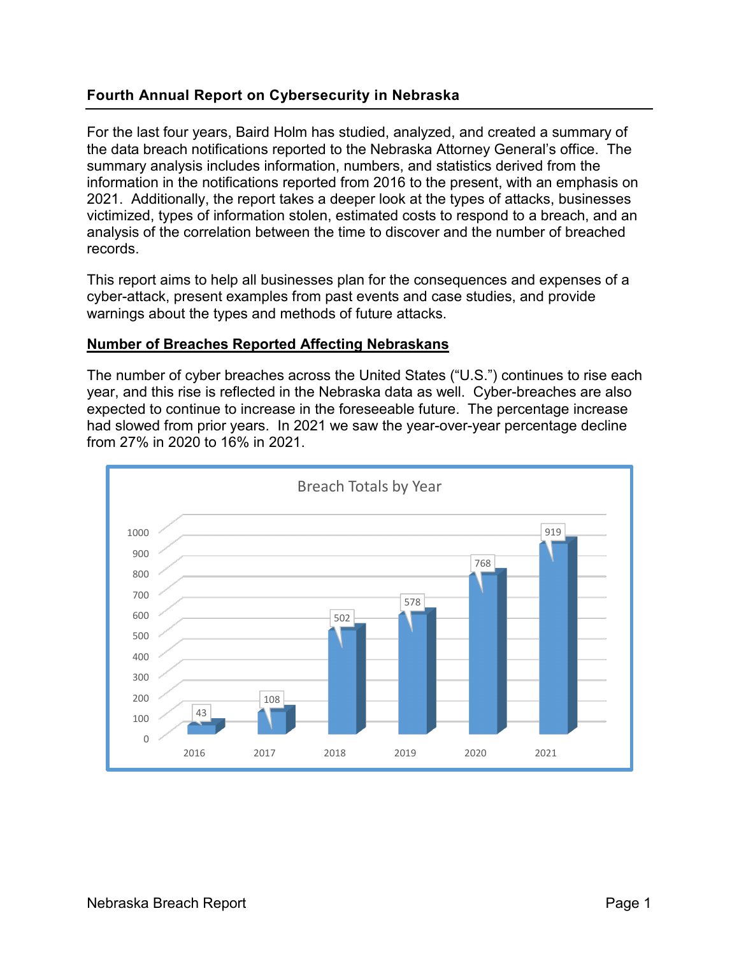#### **Fourth Annual Report on Cybersecurity in Nebraska**

For the last four years, Baird Holm has studied, analyzed, and created a summary of the data breach notifications reported to the Nebraska Attorney General's office. The summary analysis includes information, numbers, and statistics derived from the information in the notifications reported from 2016 to the present, with an emphasis on 2021. Additionally, the report takes a deeper look at the types of attacks, businesses victimized, types of information stolen, estimated costs to respond to a breach, and an analysis of the correlation between the time to discover and the number of breached records.

This report aims to help all businesses plan for the consequences and expenses of a cyber-attack, present examples from past events and case studies, and provide warnings about the types and methods of future attacks.

#### **Number of Breaches Reported Affecting Nebraskans**

The number of cyber breaches across the United States ("U.S.") continues to rise each year, and this rise is reflected in the Nebraska data as well. Cyber-breaches are also expected to continue to increase in the foreseeable future. The percentage increase had slowed from prior years. In 2021 we saw the year-over-year percentage decline from 27% in 2020 to 16% in 2021.

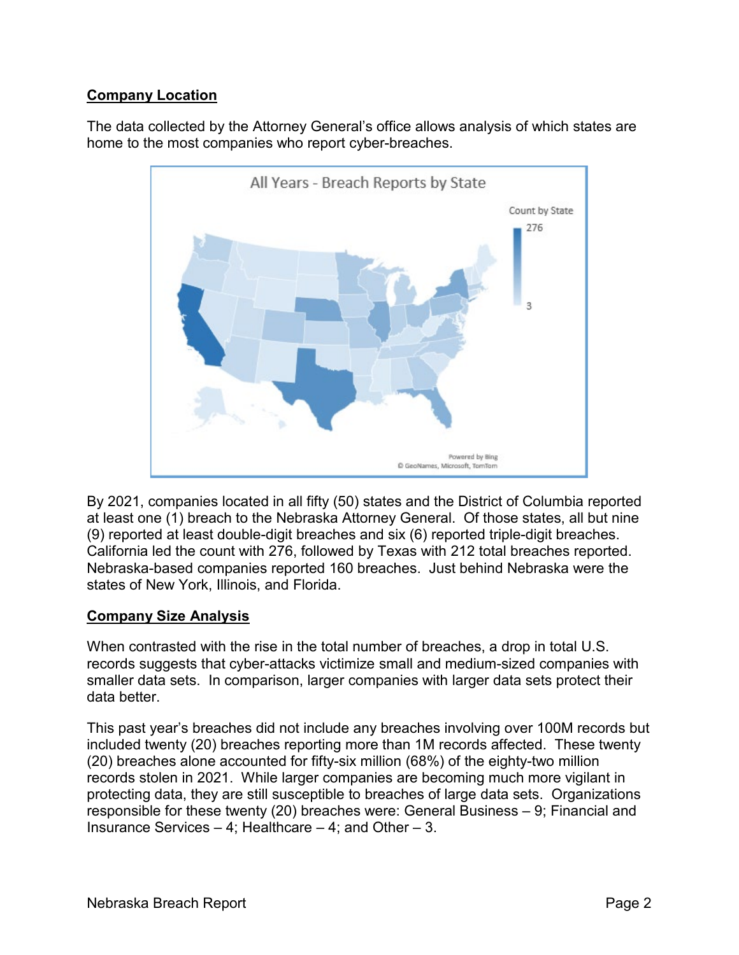# **Company Location**

The data collected by the Attorney General's office allows analysis of which states are home to the most companies who report cyber-breaches.



By 2021, companies located in all fifty (50) states and the District of Columbia reported at least one (1) breach to the Nebraska Attorney General. Of those states, all but nine (9) reported at least double-digit breaches and six (6) reported triple-digit breaches. California led the count with 276, followed by Texas with 212 total breaches reported. Nebraska-based companies reported 160 breaches. Just behind Nebraska were the states of New York, Illinois, and Florida.

# **Company Size Analysis**

When contrasted with the rise in the total number of breaches, a drop in total U.S. records suggests that cyber-attacks victimize small and medium-sized companies with smaller data sets. In comparison, larger companies with larger data sets protect their data better.

This past year's breaches did not include any breaches involving over 100M records but included twenty (20) breaches reporting more than 1M records affected. These twenty (20) breaches alone accounted for fifty-six million (68%) of the eighty-two million records stolen in 2021. While larger companies are becoming much more vigilant in protecting data, they are still susceptible to breaches of large data sets. Organizations responsible for these twenty (20) breaches were: General Business – 9; Financial and Insurance Services – 4; Healthcare – 4; and Other – 3.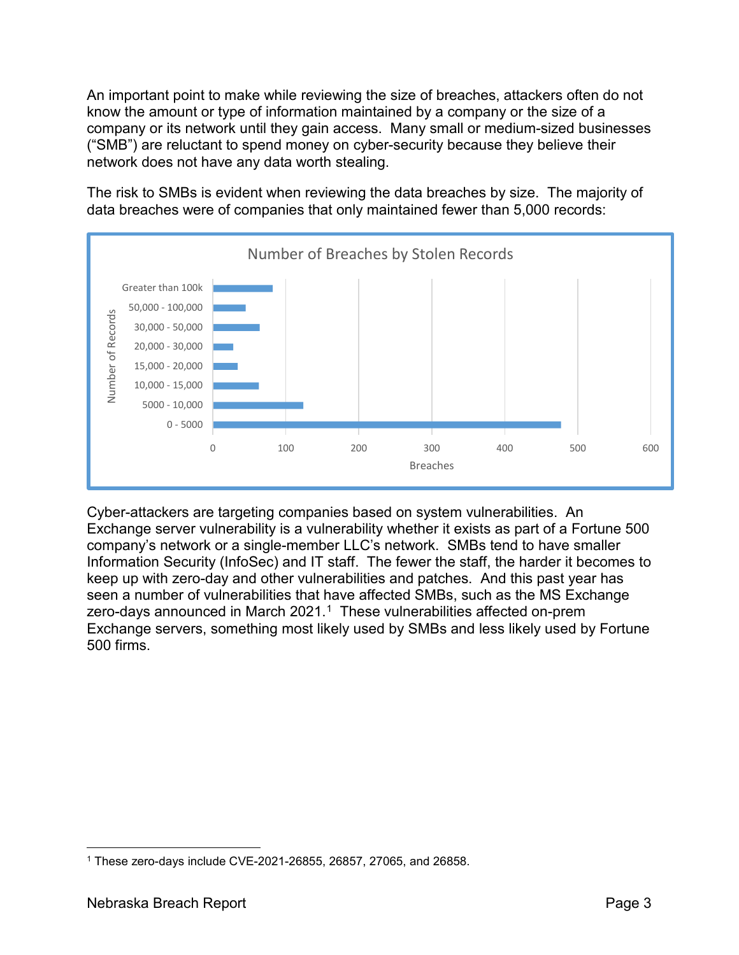An important point to make while reviewing the size of breaches, attackers often do not know the amount or type of information maintained by a company or the size of a company or its network until they gain access. Many small or medium-sized businesses ("SMB") are reluctant to spend money on cyber-security because they believe their network does not have any data worth stealing.

The risk to SMBs is evident when reviewing the data breaches by size. The majority of data breaches were of companies that only maintained fewer than 5,000 records:



Cyber-attackers are targeting companies based on system vulnerabilities. An Exchange server vulnerability is a vulnerability whether it exists as part of a Fortune 500 company's network or a single-member LLC's network. SMBs tend to have smaller Information Security (InfoSec) and IT staff. The fewer the staff, the harder it becomes to keep up with zero-day and other vulnerabilities and patches. And this past year has seen a number of vulnerabilities that have affected SMBs, such as the MS Exchange zero-days announced in March  $2021<sup>1</sup>$  $2021<sup>1</sup>$  $2021<sup>1</sup>$  These vulnerabilities affected on-prem Exchange servers, something most likely used by SMBs and less likely used by Fortune 500 firms.

<span id="page-2-0"></span> <sup>1</sup> These zero-days include CVE-2021-26855, 26857, 27065, and 26858.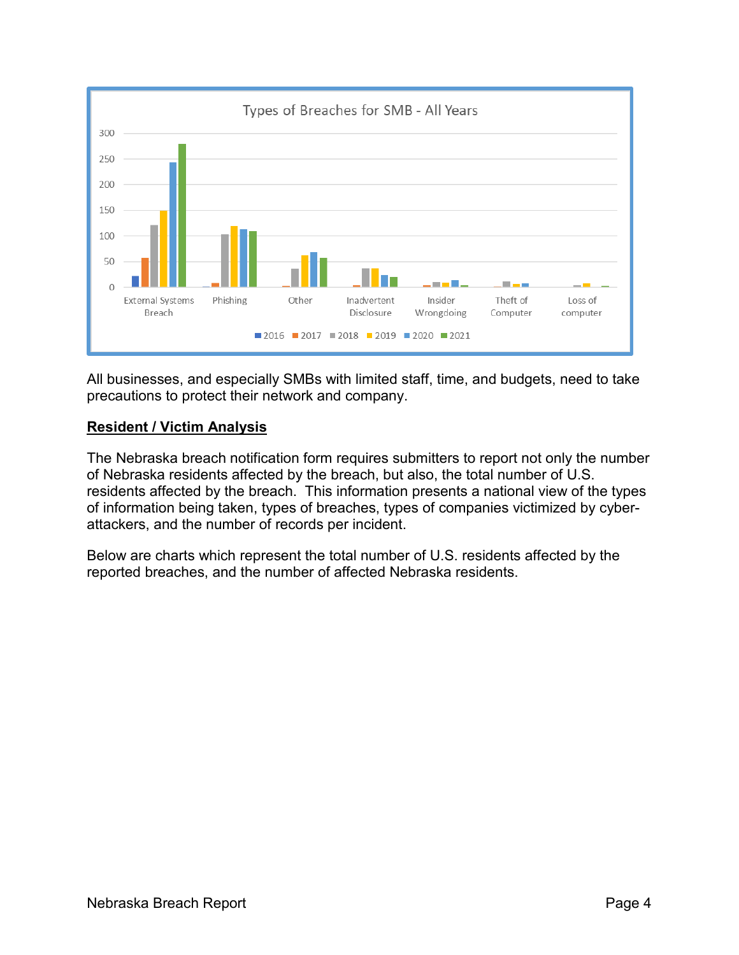

All businesses, and especially SMBs with limited staff, time, and budgets, need to take precautions to protect their network and company.

### **Resident / Victim Analysis**

The Nebraska breach notification form requires submitters to report not only the number of Nebraska residents affected by the breach, but also, the total number of U.S. residents affected by the breach. This information presents a national view of the types of information being taken, types of breaches, types of companies victimized by cyberattackers, and the number of records per incident.

Below are charts which represent the total number of U.S. residents affected by the reported breaches, and the number of affected Nebraska residents.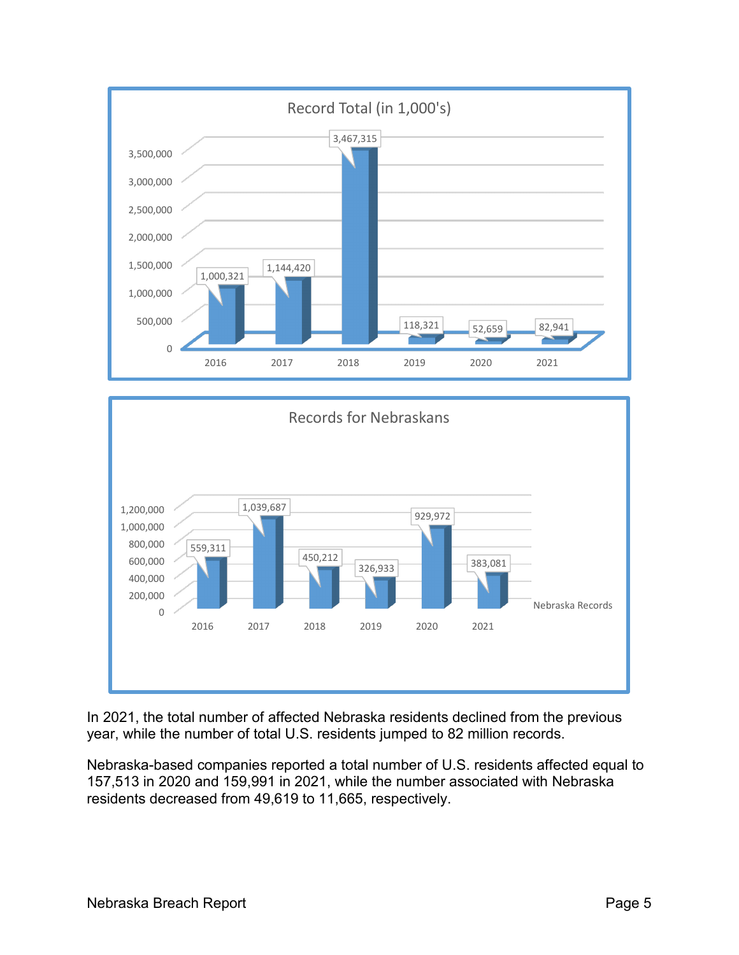

In 2021, the total number of affected Nebraska residents declined from the previous year, while the number of total U.S. residents jumped to 82 million records.

Nebraska-based companies reported a total number of U.S. residents affected equal to 157,513 in 2020 and 159,991 in 2021, while the number associated with Nebraska residents decreased from 49,619 to 11,665, respectively.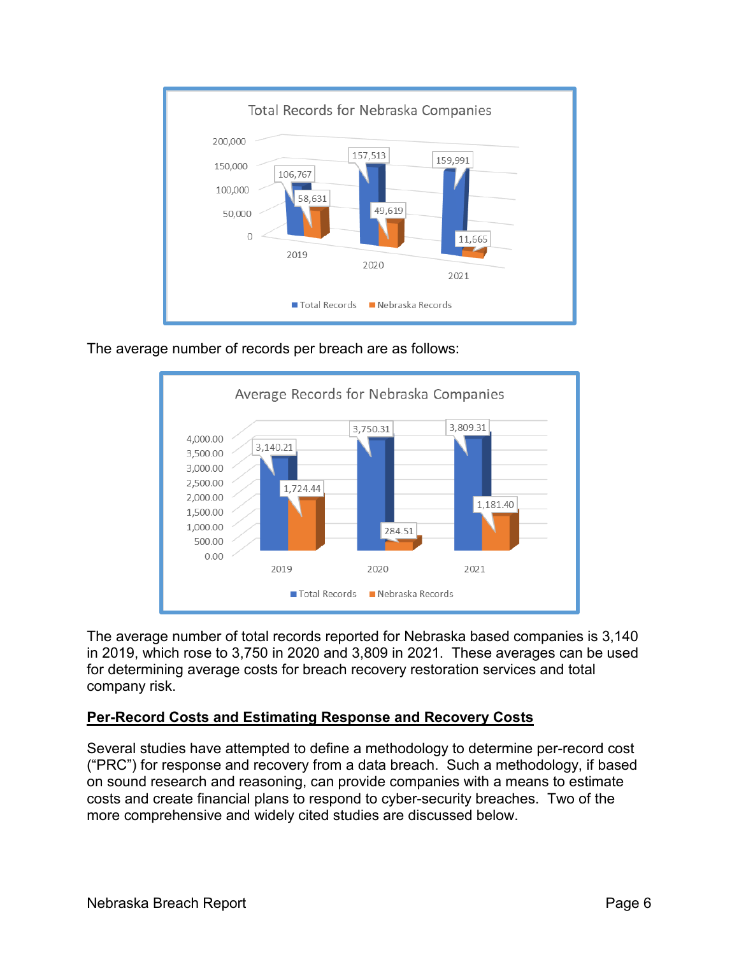

The average number of records per breach are as follows:



The average number of total records reported for Nebraska based companies is 3,140 in 2019, which rose to 3,750 in 2020 and 3,809 in 2021. These averages can be used for determining average costs for breach recovery restoration services and total company risk.

### **Per-Record Costs and Estimating Response and Recovery Costs**

Several studies have attempted to define a methodology to determine per-record cost ("PRC") for response and recovery from a data breach. Such a methodology, if based on sound research and reasoning, can provide companies with a means to estimate costs and create financial plans to respond to cyber-security breaches. Two of the more comprehensive and widely cited studies are discussed below.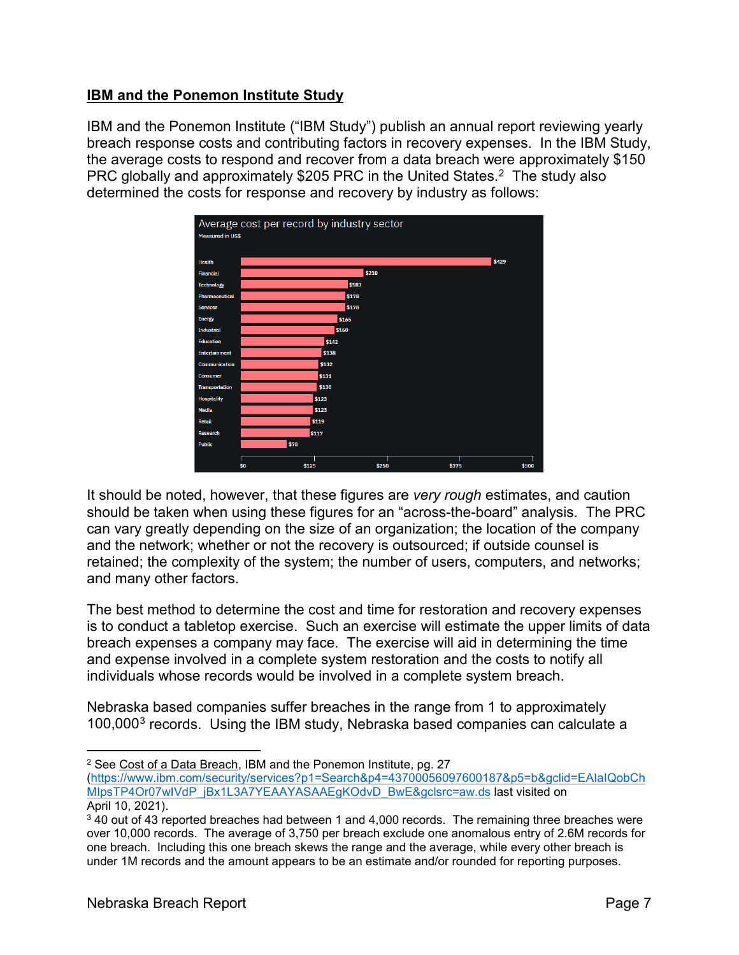### **IBM and the Ponemon Institute Study**

IBM and the Ponemon Institute ("IBM Study") publish an annual report reviewing yearly breach response costs and contributing factors in recovery expenses. In the IBM Study, the average costs to respond and recover from a data breach were approximately \$150 PRC globally and approximately \$205 PRC in the United States.<sup>2</sup> The study also determined the costs for response and recovery by industry as follows:



It should be noted, however, that these figures are *very rough* estimates, and caution should be taken when using these figures for an "across-the-board" analysis. The PRC can vary greatly depending on the size of an organization; the location of the company and the network; whether or not the recovery is outsourced; if outside counsel is retained; the complexity of the system; the number of users, computers, and networks; and many other factors.

The best method to determine the cost and time for restoration and recovery expenses is to conduct a tabletop exercise. Such an exercise will estimate the upper limits of data breach expenses a company may face. The exercise will aid in determining the time and expense involved in a complete system restoration and the costs to notify all individuals whose records would be involved in a complete system breach.

Nebraska based companies suffer breaches in the range from 1 to approximately 100,000[3](#page-6-1) records. Using the IBM study, Nebraska based companies can calculate a

 <sup>2</sup> See Cost of a Data Breach, IBM and the Ponemon Institute, pg. 27

<span id="page-6-0"></span>[<sup>\(</sup>https://www.ibm.com/security/services?p1=Search&p4=43700056097600187&p5=b&gclid=EAIaIQobCh](https://www.ibm.com/security/services?p1=Search&p4=43700056097600187&p5=b&gclid=EAIaIQobChMIpsTP4Or07wIVdP_jBx1L3A7YEAAYASAAEgKOdvD_BwE&gclsrc=aw.ds) [MIpsTP4Or07wIVdP\\_jBx1L3A7YEAAYASAAEgKOdvD\\_BwE&gclsrc=aw.ds](https://www.ibm.com/security/services?p1=Search&p4=43700056097600187&p5=b&gclid=EAIaIQobChMIpsTP4Or07wIVdP_jBx1L3A7YEAAYASAAEgKOdvD_BwE&gclsrc=aw.ds) last visited on April 10, 2021).

<span id="page-6-1"></span><sup>&</sup>lt;sup>3</sup> 40 out of 43 reported breaches had between 1 and 4,000 records. The remaining three breaches were over 10,000 records. The average of 3,750 per breach exclude one anomalous entry of 2.6M records for one breach. Including this one breach skews the range and the average, while every other breach is under 1M records and the amount appears to be an estimate and/or rounded for reporting purposes.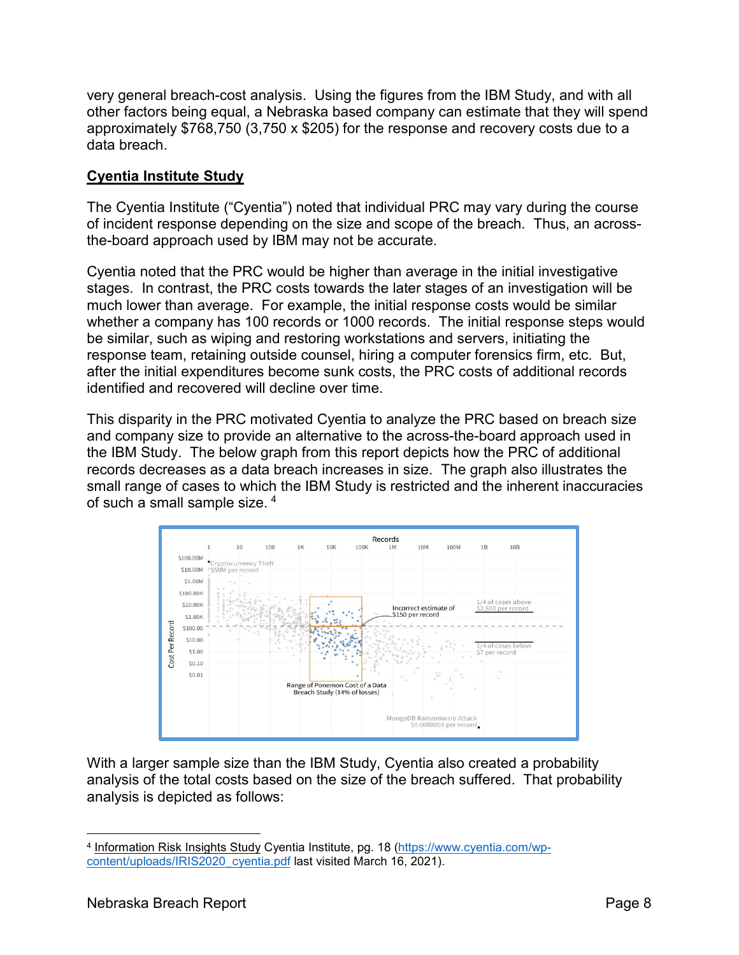very general breach-cost analysis. Using the figures from the IBM Study, and with all other factors being equal, a Nebraska based company can estimate that they will spend approximately \$768,750 (3,750 x \$205) for the response and recovery costs due to a data breach.

### **Cyentia Institute Study**

The Cyentia Institute ("Cyentia") noted that individual PRC may vary during the course of incident response depending on the size and scope of the breach. Thus, an acrossthe-board approach used by IBM may not be accurate.

Cyentia noted that the PRC would be higher than average in the initial investigative stages. In contrast, the PRC costs towards the later stages of an investigation will be much lower than average. For example, the initial response costs would be similar whether a company has 100 records or 1000 records. The initial response steps would be similar, such as wiping and restoring workstations and servers, initiating the response team, retaining outside counsel, hiring a computer forensics firm, etc. But, after the initial expenditures become sunk costs, the PRC costs of additional records identified and recovered will decline over time.

This disparity in the PRC motivated Cyentia to analyze the PRC based on breach size and company size to provide an alternative to the across-the-board approach used in the IBM Study. The below graph from this report depicts how the PRC of additional records decreases as a data breach increases in size. The graph also illustrates the small range of cases to which the IBM Study is restricted and the inherent inaccuracies of such a small sample size. [4](#page-7-0)



With a larger sample size than the IBM Study, Cyentia also created a probability analysis of the total costs based on the size of the breach suffered. That probability analysis is depicted as follows:

<span id="page-7-0"></span> <sup>4</sup> Information Risk Insights Study Cyentia Institute, pg. 18 [\(https://www.cyentia.com/wp](https://www.cyentia.com/wp-content/uploads/IRIS2020_cyentia.pdf)[content/uploads/IRIS2020\\_cyentia.pdf](https://www.cyentia.com/wp-content/uploads/IRIS2020_cyentia.pdf) last visited March 16, 2021).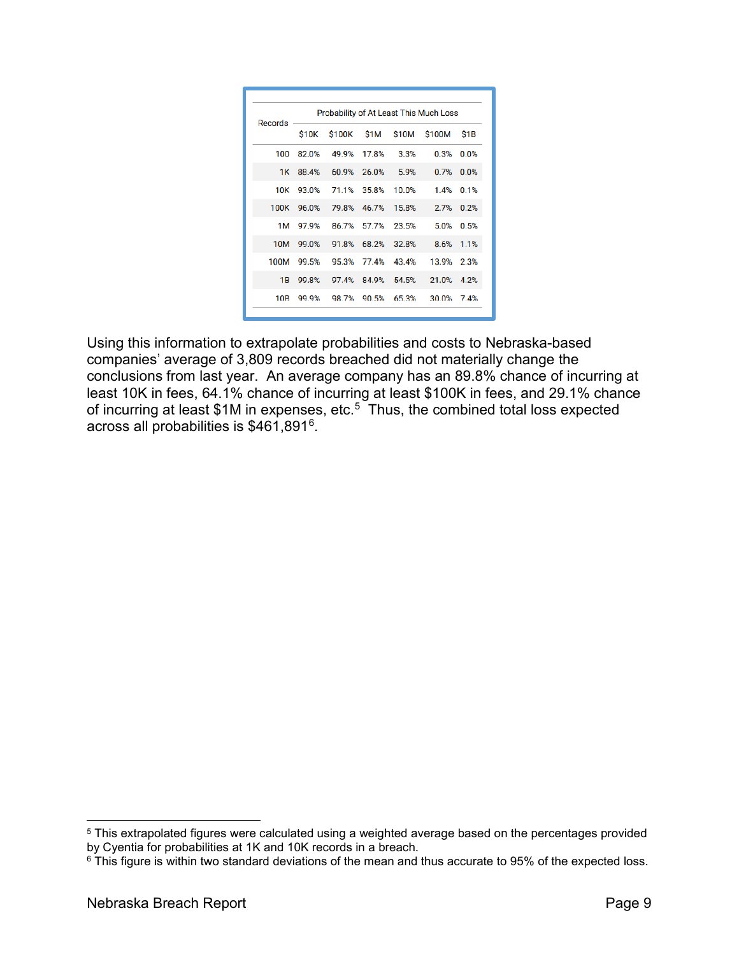| Records    | Probability of At Least This Much Loss |                         |             |                   |                          |                  |
|------------|----------------------------------------|-------------------------|-------------|-------------------|--------------------------|------------------|
|            | <b>S10K</b>                            |                         |             |                   | \$100K \$1M \$10M \$100M | S <sub>1</sub> B |
| 100        | 82.0%                                  | 49.9%                   | 17.8%       | 3.3%              | 0.3%                     | 0.0%             |
|            | 1K 88.4%                               |                         |             | 60.9% 26.0% 5.9%  | 0.7%                     | 0.0%             |
| 10K        |                                        | 93.0% 71.1% 35.8% 10.0% |             |                   | 1.4%                     | 0.1%             |
| 100K       | 96.0%                                  |                         |             | 79.8% 46.7% 15.8% | 2.7%                     | 0.2%             |
| 1M         | 97.9%                                  | 86.7%                   |             | 57.7% 23.5%       | 5.0%                     | 0.5%             |
| <b>10M</b> | 99.0%                                  | 91.8%                   |             | 68.2% 32.8%       | 8.6%                     | 1.1%             |
| 100M       | 99.5%                                  |                         | 95.3% 77.4% | 43.4%             | 13.9%                    | 2.3%             |
| 1B         | 99.8%                                  | 97.4%                   |             | 84.9% 54.5%       | 21.0%                    | 4.2%             |
| 10B        | 99.9%                                  | 98.7%                   | 90.5%       | 65.3%             | 30.0%                    | 74%              |

Using this information to extrapolate probabilities and costs to Nebraska-based companies' average of 3,809 records breached did not materially change the conclusions from last year. An average company has an 89.8% chance of incurring at least 10K in fees, 64.1% chance of incurring at least \$100K in fees, and 29.1% chance of incurring at least \$1M in expenses, etc. [5](#page-8-0) Thus, the combined total loss expected across all probabilities is \$461,891[6](#page-8-1).

<span id="page-8-0"></span><sup>&</sup>lt;sup>5</sup> This extrapolated figures were calculated using a weighted average based on the percentages provided by Cyentia for probabilities at 1K and 10K records in a breach.

<span id="page-8-1"></span><sup>&</sup>lt;sup>6</sup> This figure is within two standard deviations of the mean and thus accurate to 95% of the expected loss.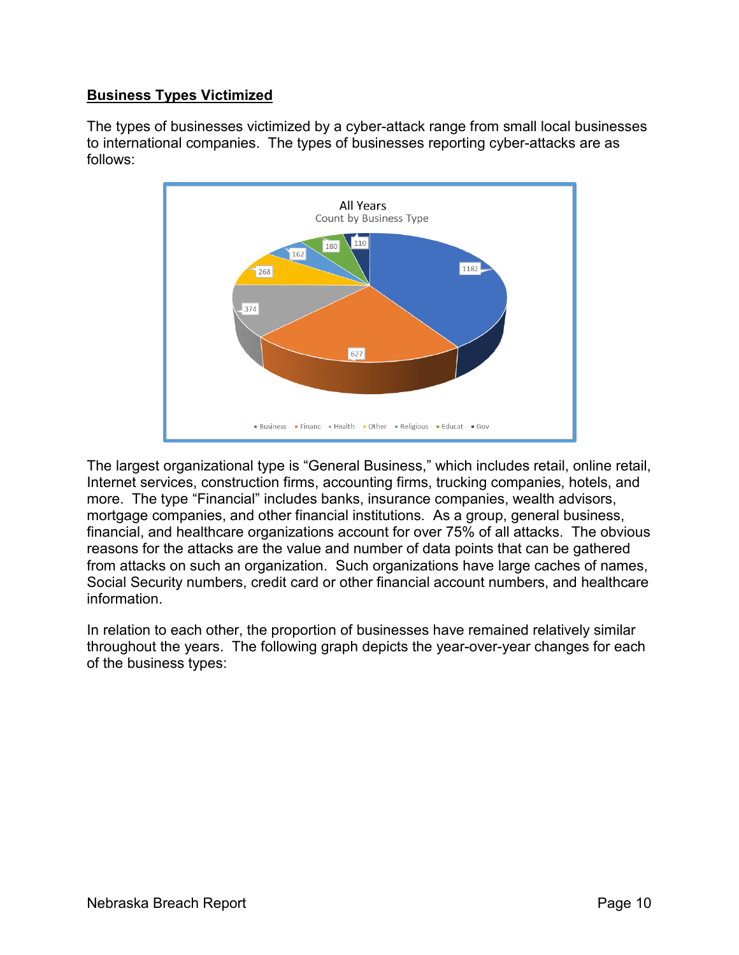# **Business Types Victimized**

The types of businesses victimized by a cyber-attack range from small local businesses to international companies. The types of businesses reporting cyber-attacks are as follows:



The largest organizational type is "General Business," which includes retail, online retail, Internet services, construction firms, accounting firms, trucking companies, hotels, and more. The type "Financial" includes banks, insurance companies, wealth advisors, mortgage companies, and other financial institutions. As a group, general business, financial, and healthcare organizations account for over 75% of all attacks. The obvious reasons for the attacks are the value and number of data points that can be gathered from attacks on such an organization. Such organizations have large caches of names, Social Security numbers, credit card or other financial account numbers, and healthcare information.

In relation to each other, the proportion of businesses have remained relatively similar throughout the years. The following graph depicts the year-over-year changes for each of the business types: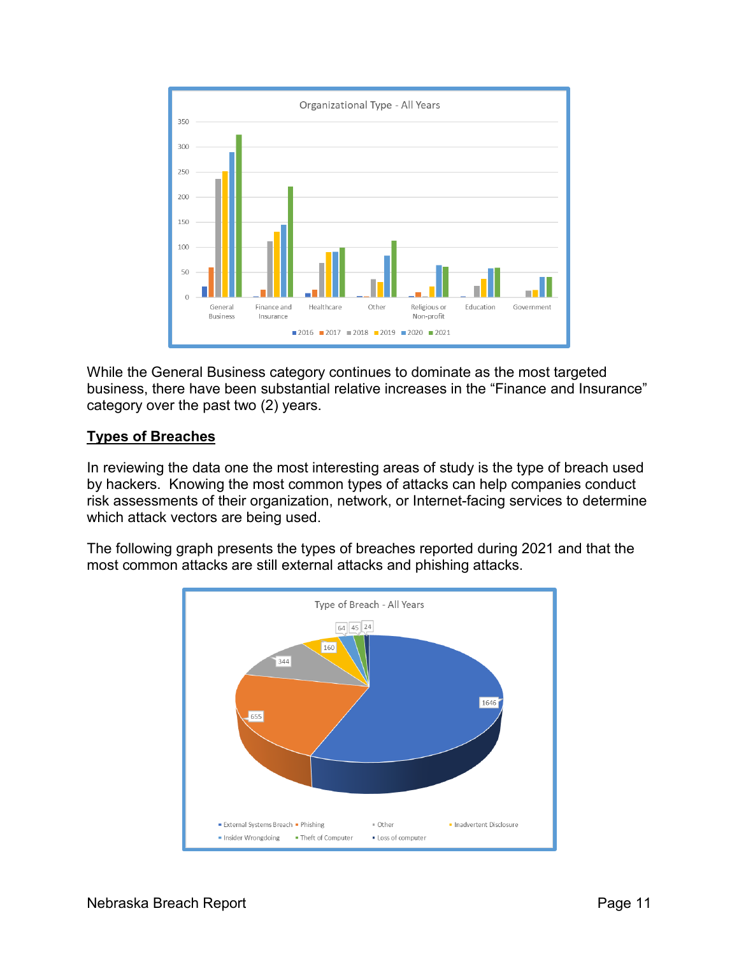

While the General Business category continues to dominate as the most targeted business, there have been substantial relative increases in the "Finance and Insurance" category over the past two (2) years.

# **Types of Breaches**

In reviewing the data one the most interesting areas of study is the type of breach used by hackers. Knowing the most common types of attacks can help companies conduct risk assessments of their organization, network, or Internet-facing services to determine which attack vectors are being used.

The following graph presents the types of breaches reported during 2021 and that the most common attacks are still external attacks and phishing attacks.

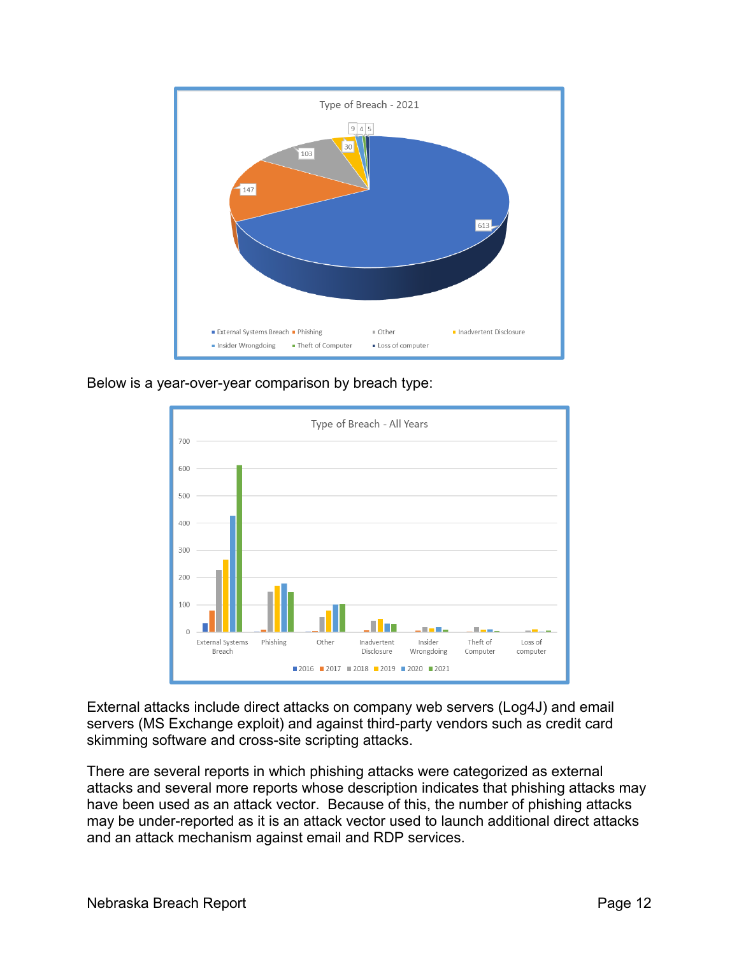

Below is a year-over-year comparison by breach type:



External attacks include direct attacks on company web servers (Log4J) and email servers (MS Exchange exploit) and against third-party vendors such as credit card skimming software and cross-site scripting attacks.

There are several reports in which phishing attacks were categorized as external attacks and several more reports whose description indicates that phishing attacks may have been used as an attack vector. Because of this, the number of phishing attacks may be under-reported as it is an attack vector used to launch additional direct attacks and an attack mechanism against email and RDP services.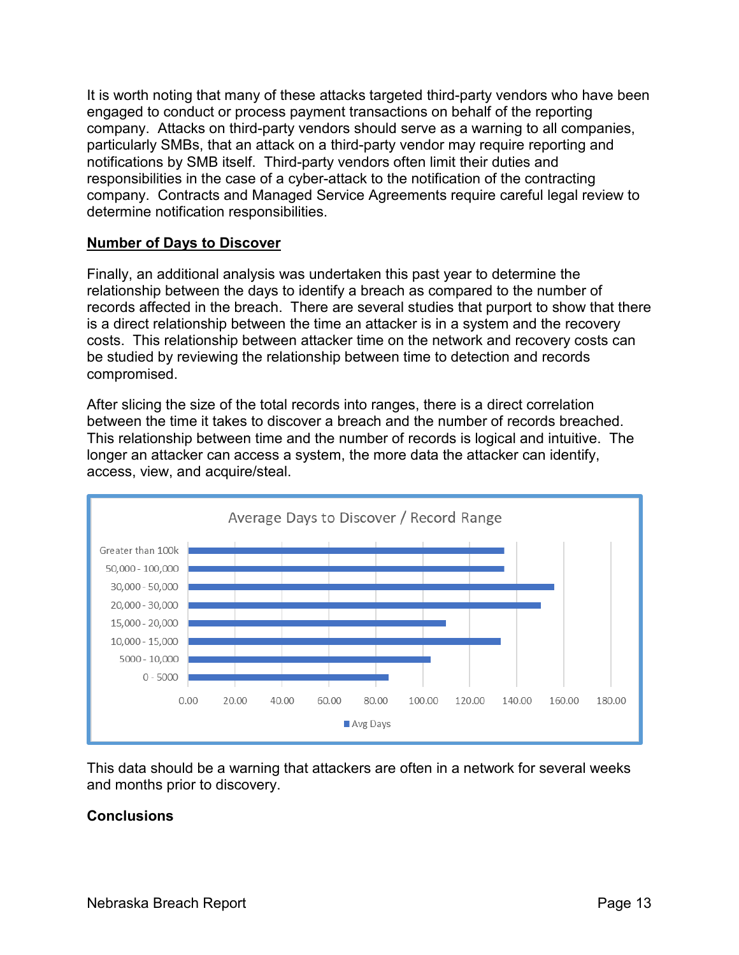It is worth noting that many of these attacks targeted third-party vendors who have been engaged to conduct or process payment transactions on behalf of the reporting company. Attacks on third-party vendors should serve as a warning to all companies, particularly SMBs, that an attack on a third-party vendor may require reporting and notifications by SMB itself. Third-party vendors often limit their duties and responsibilities in the case of a cyber-attack to the notification of the contracting company. Contracts and Managed Service Agreements require careful legal review to determine notification responsibilities.

#### **Number of Days to Discover**

Finally, an additional analysis was undertaken this past year to determine the relationship between the days to identify a breach as compared to the number of records affected in the breach. There are several studies that purport to show that there is a direct relationship between the time an attacker is in a system and the recovery costs. This relationship between attacker time on the network and recovery costs can be studied by reviewing the relationship between time to detection and records compromised.

After slicing the size of the total records into ranges, there is a direct correlation between the time it takes to discover a breach and the number of records breached. This relationship between time and the number of records is logical and intuitive. The longer an attacker can access a system, the more data the attacker can identify, access, view, and acquire/steal.



This data should be a warning that attackers are often in a network for several weeks and months prior to discovery.

#### **Conclusions**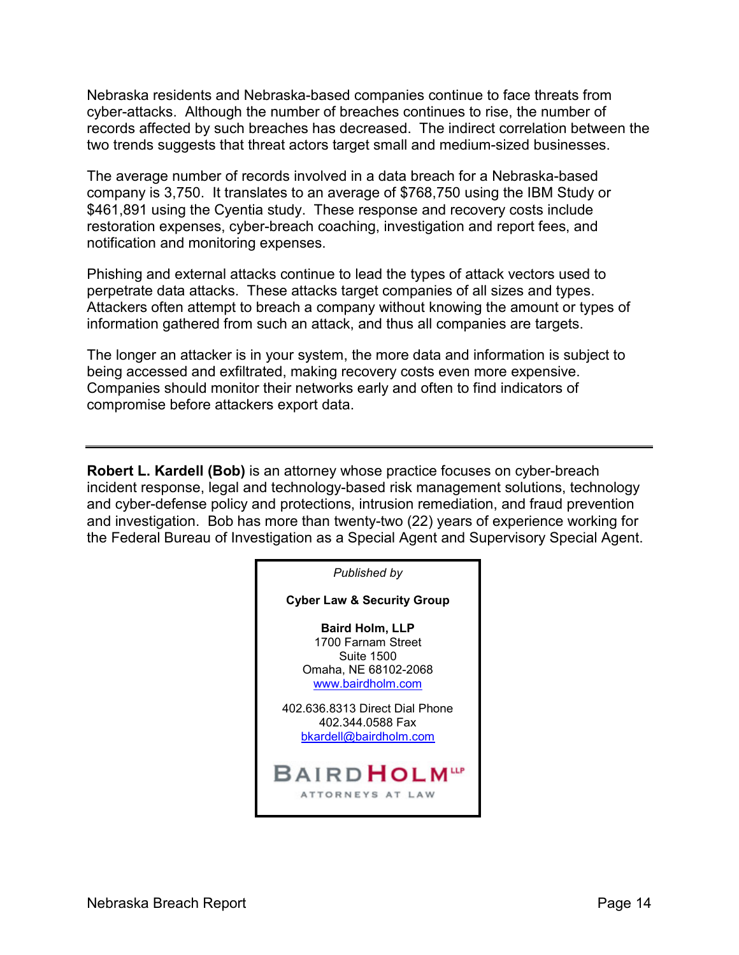Nebraska residents and Nebraska-based companies continue to face threats from cyber-attacks. Although the number of breaches continues to rise, the number of records affected by such breaches has decreased. The indirect correlation between the two trends suggests that threat actors target small and medium-sized businesses.

The average number of records involved in a data breach for a Nebraska-based company is 3,750. It translates to an average of \$768,750 using the IBM Study or \$461,891 using the Cyentia study. These response and recovery costs include restoration expenses, cyber-breach coaching, investigation and report fees, and notification and monitoring expenses.

Phishing and external attacks continue to lead the types of attack vectors used to perpetrate data attacks. These attacks target companies of all sizes and types. Attackers often attempt to breach a company without knowing the amount or types of information gathered from such an attack, and thus all companies are targets.

The longer an attacker is in your system, the more data and information is subject to being accessed and exfiltrated, making recovery costs even more expensive. Companies should monitor their networks early and often to find indicators of compromise before attackers export data.

**Robert L. Kardell (Bob)** is an attorney whose practice focuses on cyber-breach incident response, legal and technology-based risk management solutions, technology and cyber-defense policy and protections, intrusion remediation, and fraud prevention and investigation. Bob has more than twenty-two (22) years of experience working for the Federal Bureau of Investigation as a Special Agent and Supervisory Special Agent.